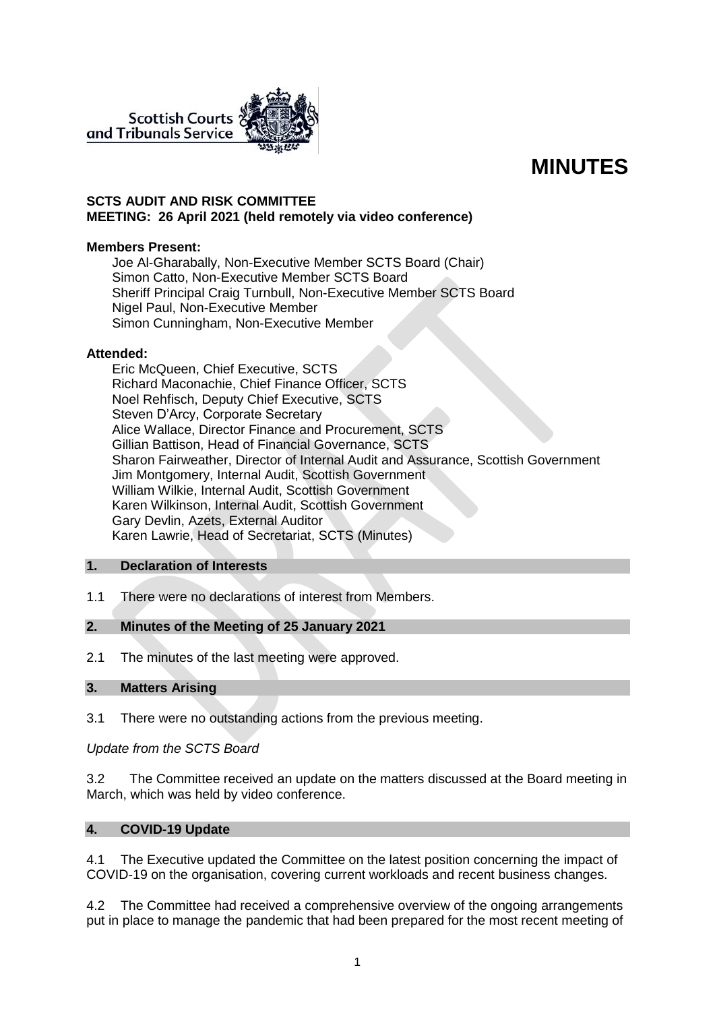

# **MINUTES**

#### **SCTS AUDIT AND RISK COMMITTEE MEETING: 26 April 2021 (held remotely via video conference)**

#### **Members Present:**

Joe Al-Gharabally, Non-Executive Member SCTS Board (Chair) Simon Catto, Non-Executive Member SCTS Board Sheriff Principal Craig Turnbull, Non-Executive Member SCTS Board Nigel Paul, Non-Executive Member Simon Cunningham, Non-Executive Member

#### **Attended:**

Eric McQueen, Chief Executive, SCTS Richard Maconachie, Chief Finance Officer, SCTS Noel Rehfisch, Deputy Chief Executive, SCTS Steven D'Arcy, Corporate Secretary Alice Wallace, Director Finance and Procurement, SCTS Gillian Battison, Head of Financial Governance, SCTS Sharon Fairweather, Director of Internal Audit and Assurance, Scottish Government Jim Montgomery, Internal Audit, Scottish Government William Wilkie, Internal Audit, Scottish Government Karen Wilkinson, Internal Audit, Scottish Government Gary Devlin, Azets, External Auditor Karen Lawrie, Head of Secretariat, SCTS (Minutes)

# **1. Declaration of Interests**

1.1 There were no declarations of interest from Members.

# **2. Minutes of the Meeting of 25 January 2021**

2.1 The minutes of the last meeting were approved.

# **3. Matters Arising**

3.1 There were no outstanding actions from the previous meeting.

# *Update from the SCTS Board*

3.2 The Committee received an update on the matters discussed at the Board meeting in March, which was held by video conference.

# **4. COVID-19 Update**

4.1 The Executive updated the Committee on the latest position concerning the impact of COVID-19 on the organisation, covering current workloads and recent business changes.

4.2 The Committee had received a comprehensive overview of the ongoing arrangements put in place to manage the pandemic that had been prepared for the most recent meeting of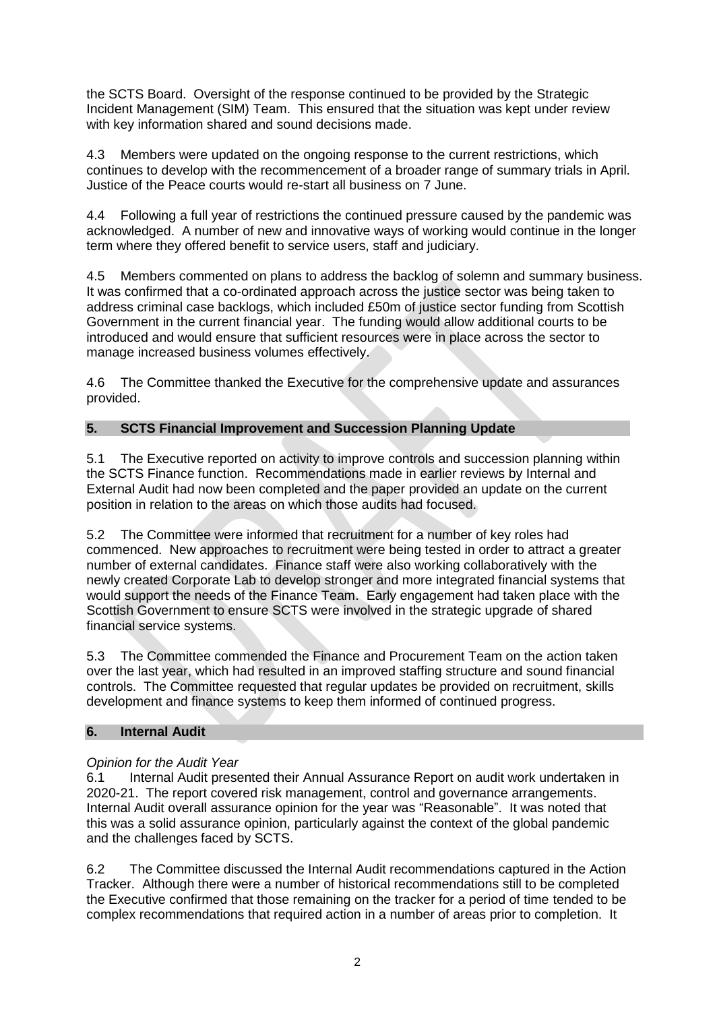the SCTS Board. Oversight of the response continued to be provided by the Strategic Incident Management (SIM) Team. This ensured that the situation was kept under review with key information shared and sound decisions made.

4.3 Members were updated on the ongoing response to the current restrictions, which continues to develop with the recommencement of a broader range of summary trials in April. Justice of the Peace courts would re-start all business on 7 June.

4.4 Following a full year of restrictions the continued pressure caused by the pandemic was acknowledged. A number of new and innovative ways of working would continue in the longer term where they offered benefit to service users, staff and judiciary.

4.5 Members commented on plans to address the backlog of solemn and summary business. It was confirmed that a co-ordinated approach across the justice sector was being taken to address criminal case backlogs, which included £50m of justice sector funding from Scottish Government in the current financial year. The funding would allow additional courts to be introduced and would ensure that sufficient resources were in place across the sector to manage increased business volumes effectively.

4.6 The Committee thanked the Executive for the comprehensive update and assurances provided.

# **5. SCTS Financial Improvement and Succession Planning Update**

5.1 The Executive reported on activity to improve controls and succession planning within the SCTS Finance function. Recommendations made in earlier reviews by Internal and External Audit had now been completed and the paper provided an update on the current position in relation to the areas on which those audits had focused.

5.2 The Committee were informed that recruitment for a number of key roles had commenced. New approaches to recruitment were being tested in order to attract a greater number of external candidates. Finance staff were also working collaboratively with the newly created Corporate Lab to develop stronger and more integrated financial systems that would support the needs of the Finance Team. Early engagement had taken place with the Scottish Government to ensure SCTS were involved in the strategic upgrade of shared financial service systems.

5.3 The Committee commended the Finance and Procurement Team on the action taken over the last year, which had resulted in an improved staffing structure and sound financial controls. The Committee requested that regular updates be provided on recruitment, skills development and finance systems to keep them informed of continued progress.

# **6. Internal Audit**

# *Opinion for the Audit Year*

6.1 Internal Audit presented their Annual Assurance Report on audit work undertaken in 2020-21. The report covered risk management, control and governance arrangements. Internal Audit overall assurance opinion for the year was "Reasonable". It was noted that this was a solid assurance opinion, particularly against the context of the global pandemic and the challenges faced by SCTS.

6.2 The Committee discussed the Internal Audit recommendations captured in the Action Tracker. Although there were a number of historical recommendations still to be completed the Executive confirmed that those remaining on the tracker for a period of time tended to be complex recommendations that required action in a number of areas prior to completion. It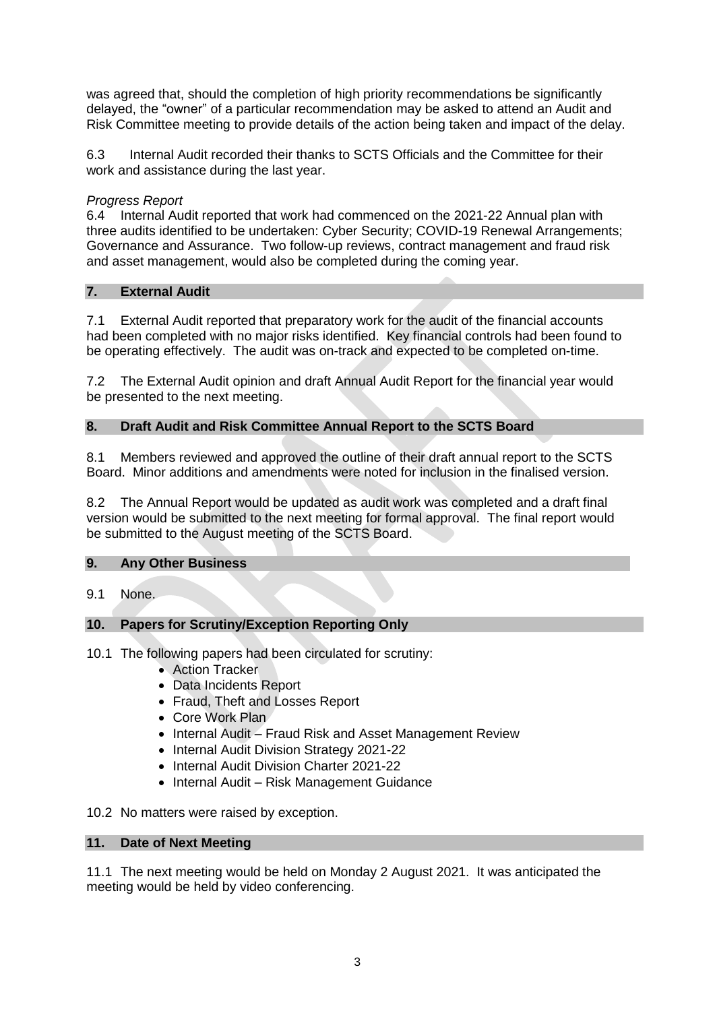was agreed that, should the completion of high priority recommendations be significantly delayed, the "owner" of a particular recommendation may be asked to attend an Audit and Risk Committee meeting to provide details of the action being taken and impact of the delay.

6.3 Internal Audit recorded their thanks to SCTS Officials and the Committee for their work and assistance during the last year.

# *Progress Report*

6.4 Internal Audit reported that work had commenced on the 2021-22 Annual plan with three audits identified to be undertaken: Cyber Security; COVID-19 Renewal Arrangements; Governance and Assurance. Two follow-up reviews, contract management and fraud risk and asset management, would also be completed during the coming year.

# **7. External Audit**

7.1 External Audit reported that preparatory work for the audit of the financial accounts had been completed with no major risks identified. Key financial controls had been found to be operating effectively. The audit was on-track and expected to be completed on-time.

7.2 The External Audit opinion and draft Annual Audit Report for the financial year would be presented to the next meeting.

# **8. Draft Audit and Risk Committee Annual Report to the SCTS Board**

8.1 Members reviewed and approved the outline of their draft annual report to the SCTS Board. Minor additions and amendments were noted for inclusion in the finalised version.

8.2 The Annual Report would be updated as audit work was completed and a draft final version would be submitted to the next meeting for formal approval. The final report would be submitted to the August meeting of the SCTS Board.

# **9. Any Other Business**

9.1 None.

# **10. Papers for Scrutiny/Exception Reporting Only**

- 10.1 The following papers had been circulated for scrutiny:
	- Action Tracker
	- Data Incidents Report
	- Fraud, Theft and Losses Report
	- Core Work Plan
	- Internal Audit Fraud Risk and Asset Management Review
	- Internal Audit Division Strategy 2021-22
	- Internal Audit Division Charter 2021-22
	- Internal Audit Risk Management Guidance

10.2 No matters were raised by exception.

# **11. Date of Next Meeting**

11.1 The next meeting would be held on Monday 2 August 2021. It was anticipated the meeting would be held by video conferencing.